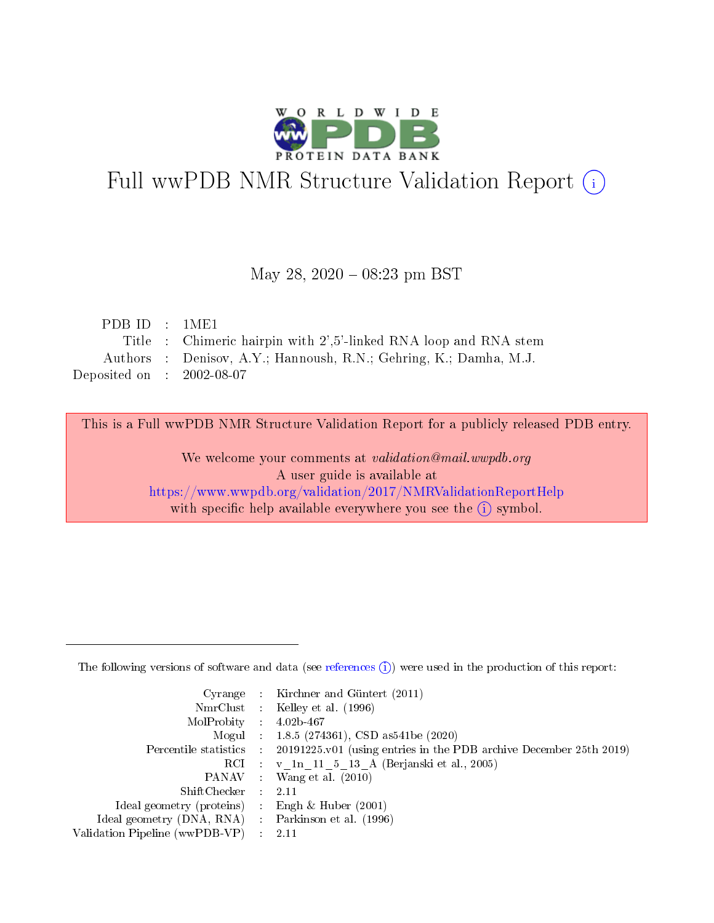

# Full wwPDB NMR Structure Validation Report (i)

#### May 28, 2020 - 08:23 pm BST

| PDBID : 1ME1                |                                                                   |
|-----------------------------|-------------------------------------------------------------------|
|                             | Title : Chimeric hairpin with 2',5'-linked RNA loop and RNA stem  |
|                             | Authors : Denisov, A.Y.; Hannoush, R.N.; Gehring, K.; Damha, M.J. |
| Deposited on : $2002-08-07$ |                                                                   |

This is a Full wwPDB NMR Structure Validation Report for a publicly released PDB entry.

We welcome your comments at validation@mail.wwpdb.org A user guide is available at <https://www.wwpdb.org/validation/2017/NMRValidationReportHelp> with specific help available everywhere you see the  $(i)$  symbol.

The following versions of software and data (see [references](https://www.wwpdb.org/validation/2017/NMRValidationReportHelp#references)  $(1)$ ) were used in the production of this report:

|                                | Cyrange : Kirchner and Güntert $(2011)$                            |
|--------------------------------|--------------------------------------------------------------------|
|                                | NmrClust : Kelley et al. (1996)                                    |
| MolProbity                     | $4.02b - 467$                                                      |
|                                | Mogul : 1.8.5 (274361), CSD as 541 be (2020)                       |
| Percentile statistics :        | 20191225.v01 (using entries in the PDB archive December 25th 2019) |
|                                | RCI : v 1n 11 5 13 A (Berjanski et al., 2005)                      |
| PANAV :                        | Wang et al. $(2010)$                                               |
| $ShiftChecker$ :               | 2.11                                                               |
| Ideal geometry (proteins) :    | Engh $\&$ Huber (2001)                                             |
| Ideal geometry (DNA, RNA) :    | Parkinson et al. (1996)                                            |
| Validation Pipeline (wwPDB-VP) | 2.11                                                               |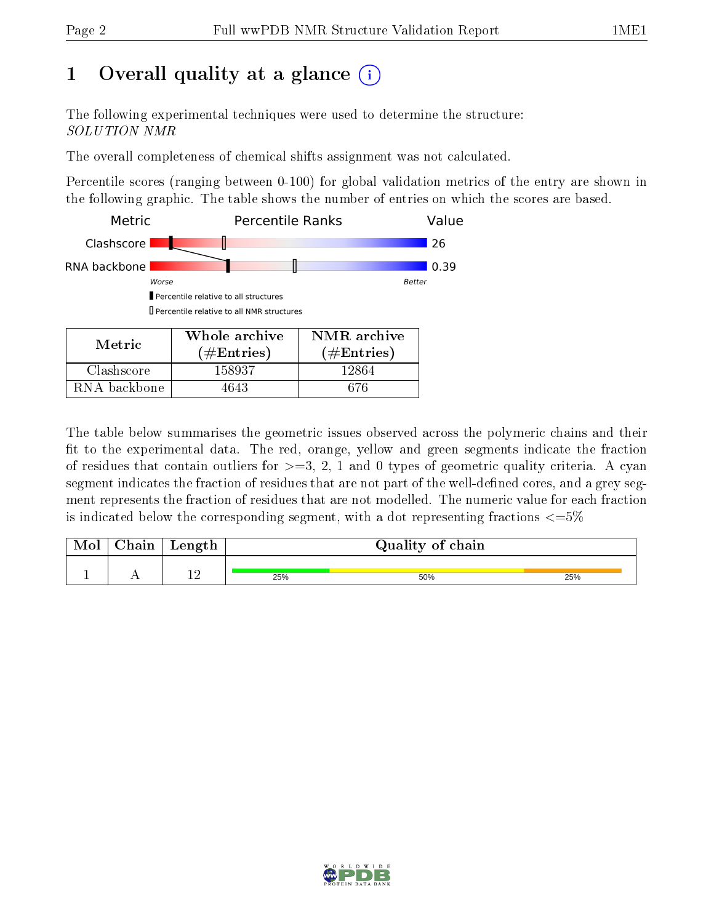## 1 [O](https://www.wwpdb.org/validation/2017/NMRValidationReportHelp#overall_quality)verall quality at a glance  $(i)$

The following experimental techniques were used to determine the structure: SOLUTION NMR

The overall completeness of chemical shifts assignment was not calculated.

Percentile scores (ranging between 0-100) for global validation metrics of the entry are shown in the following graphic. The table shows the number of entries on which the scores are based.



RNA backbone | 4643 | 676

The table below summarises the geometric issues observed across the polymeric chains and their fit to the experimental data. The red, orange, yellow and green segments indicate the fraction of residues that contain outliers for  $\geq$ =3, 2, 1 and 0 types of geometric quality criteria. A cyan segment indicates the fraction of residues that are not part of the well-defined cores, and a grey segment represents the fraction of residues that are not modelled. The numeric value for each fraction is indicated below the corresponding segment, with a dot representing fractions  $\epsilon = 5\%$ 

| $7h$ oin<br>пап | Length |     | Quality of chain |     |
|-----------------|--------|-----|------------------|-----|
|                 | ി വ    | 25% | 50%              | 25% |

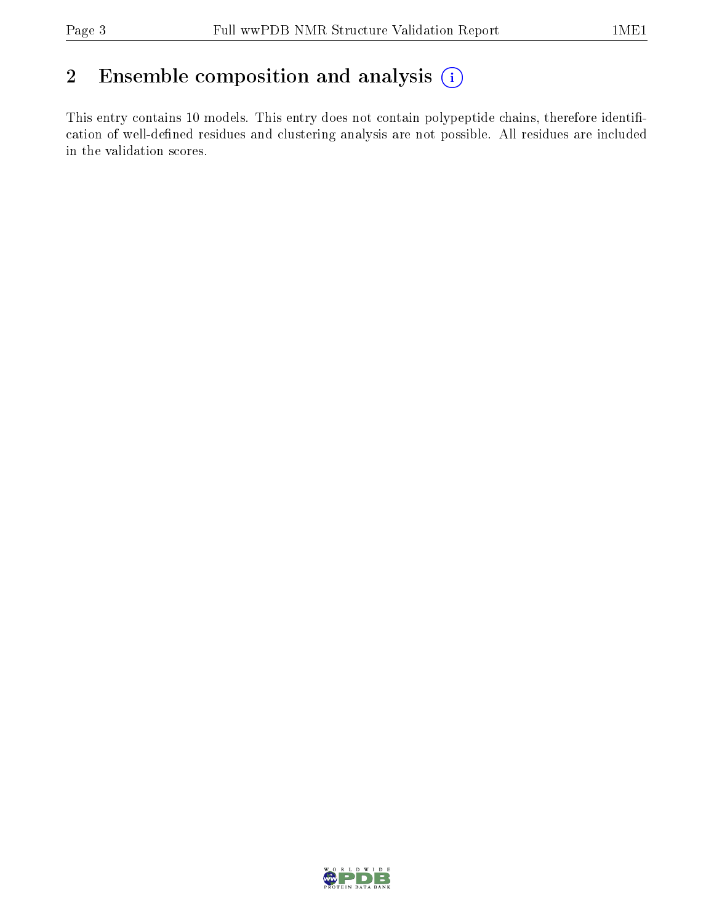## 2 Ensemble composition and analysis  $(i)$

This entry contains 10 models. This entry does not contain polypeptide chains, therefore identification of well-defined residues and clustering analysis are not possible. All residues are included in the validation scores.

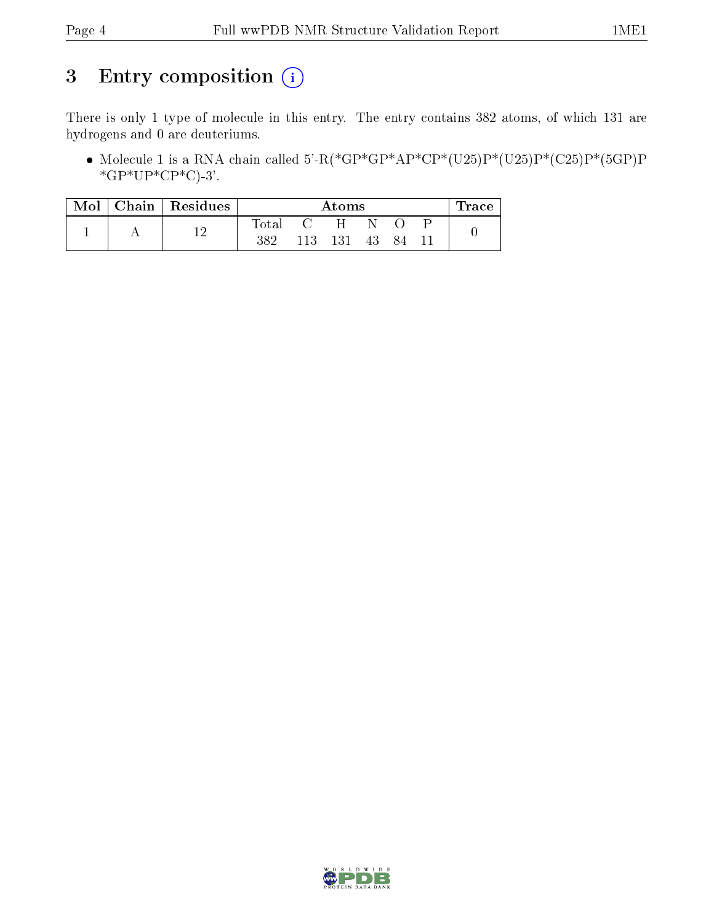## 3 Entry composition (i)

There is only 1 type of molecule in this entry. The entry contains 382 atoms, of which 131 are hydrogens and 0 are deuteriums.

• Molecule 1 is a RNA chain called 5'-R(\*GP\*GP\*AP\*CP\*(U25)P\*(U25)P\*(C25)P\*(5GP)P  $*GP*UP*CP*C-3'.$ 

| Mol | Chain   Residues |       |     | Atoms |     |    | $\pm$ race |
|-----|------------------|-------|-----|-------|-----|----|------------|
|     |                  | Total |     | H     |     |    |            |
|     |                  | 382   | 113 | 131   | -43 | 84 |            |

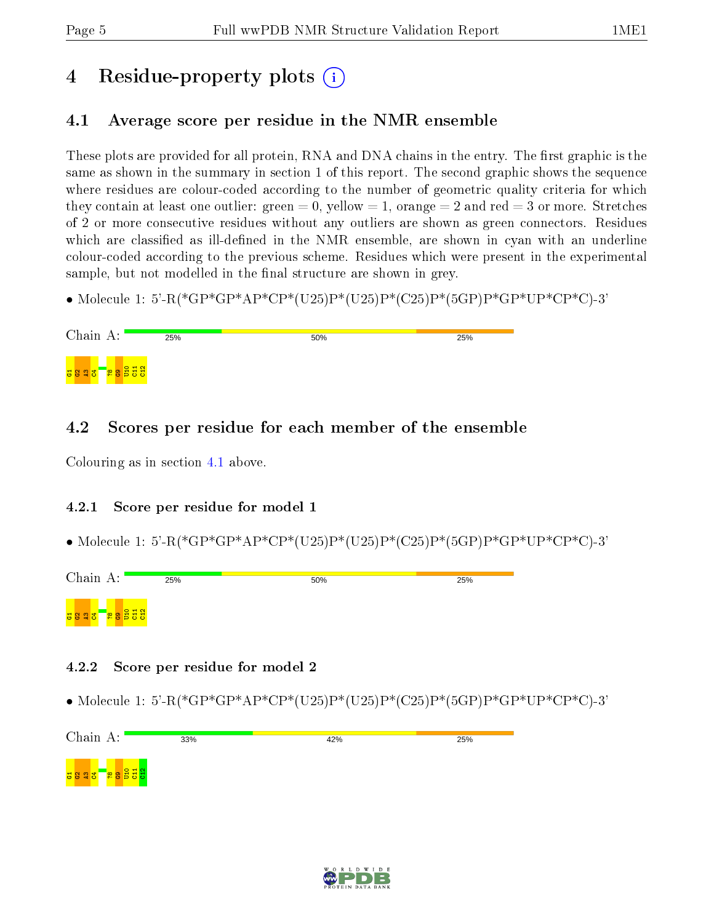## 4 Residue-property plots  $\binom{1}{1}$

## <span id="page-4-0"></span>4.1 Average score per residue in the NMR ensemble

These plots are provided for all protein, RNA and DNA chains in the entry. The first graphic is the same as shown in the summary in section 1 of this report. The second graphic shows the sequence where residues are colour-coded according to the number of geometric quality criteria for which they contain at least one outlier: green  $= 0$ , yellow  $= 1$ , orange  $= 2$  and red  $= 3$  or more. Stretches of 2 or more consecutive residues without any outliers are shown as green connectors. Residues which are classified as ill-defined in the NMR ensemble, are shown in cyan with an underline colour-coded according to the previous scheme. Residues which were present in the experimental sample, but not modelled in the final structure are shown in grey.

• Molecule 1: 5'-R(\*GP\*GP\*AP\*CP\*(U25)P\*(U25)P\*(C25)P\*(5GP)P\*GP\*UP\*CP\*C)-3'

| Chain A:                 | 25% | 50% | 25% |
|--------------------------|-----|-----|-----|
| <mark>្ត្ថិទីខ្លួ</mark> |     |     |     |

### 4.2 Scores per residue for each member of the ensemble

Colouring as in section [4.1](#page-4-0) above.

#### 4.2.1 Score per residue for model 1

• Molecule 1: 5'-R(\*GP\*GP\*AP\*CP\*(U25)P\*(U25)P\*(C25)P\*(5GP)P\*GP\*UP\*CP\*C)-3'



#### 4.2.2 Score per residue for model 2

• Molecule 1: 5'-R(\*GP\*GP\*AP\*CP\*(U25)P\*(U25)P\*(C25)P\*(5GP)P\*GP\*UP\*CP\*C)-3'



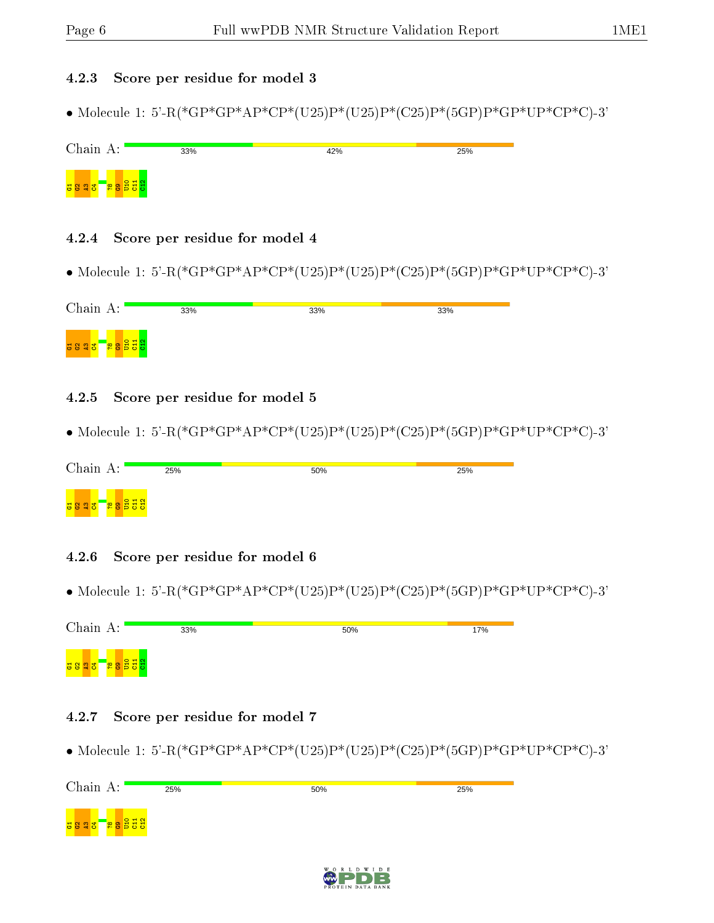#### 4.2.3 Score per residue for model 3

• Molecule 1: 5'-R(\*GP\*GP\*AP\*CP\*(U25)P\*(U25)P\*(C25)P\*(5GP)P\*GP\*UP\*CP\*C)-3'

| Chain A:                   | 33% | 42% | 25% |
|----------------------------|-----|-----|-----|
| <mark>ිස ලුපි පි</mark> ස් |     |     |     |

#### 4.2.4 Score per residue for model 4

• Molecule 1: 5'-R(\*GP\*GP\*AP\*CP\*(U25)P\*(U25)P\*(C25)P\*(5GP)P\*GP\*UP\*CP\*C)-3'

#### 4.2.5 Score per residue for model 5

• Molecule 1: 5'-R(\*GP\*GP\*AP\*CP\*(U25)P\*(U25)P\*(C25)P\*(5GP)P\*GP\*UP\*CP\*C)-3'

| Chain A:                             | 25% | 50% | 25% |  |
|--------------------------------------|-----|-----|-----|--|
| <mark>្ត្រី ខ្ញុំ ខ្ញុំ ខ្ញុំ</mark> |     |     |     |  |

#### 4.2.6 Score per residue for model 6

• Molecule 1: 5'-R(\*GP\*GP\*AP\*CP\*(U25)P\*(U25)P\*(C25)P\*(5GP)P\*GP\*UP\*CP\*C)-3'

| Chain A:                      | 33% | 50% | 17% |
|-------------------------------|-----|-----|-----|
| <mark>្ត្រី ខ្លួន ដូ</mark> ន |     |     |     |

#### 4.2.7 Score per residue for model 7

• Molecule 1: 5'-R(\*GP\*GP\*AP\*CP\*(U25)P\*(U25)P\*(C25)P\*(5GP)P\*GP\*UP\*CP\*C)-3'



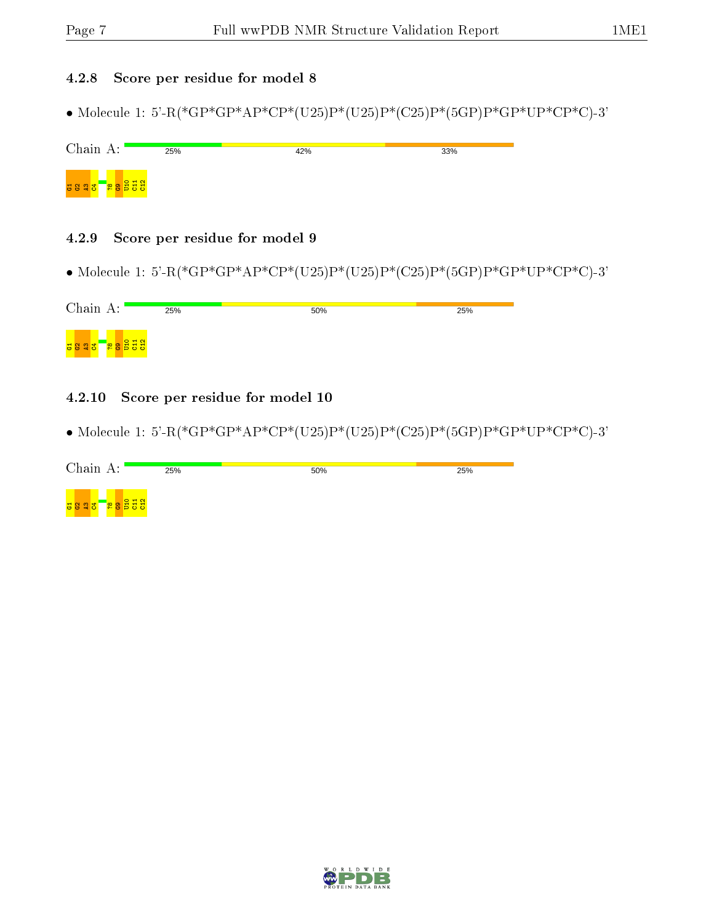#### 4.2.8 Score per residue for model 8

• Molecule 1: 5'-R(\*GP\*GP\*AP\*CP\*(U25)P\*(U25)P\*(C25)P\*(5GP)P\*GP\*UP\*CP\*C)-3'

| Chain A:                | 25% | 42% | 33% |
|-------------------------|-----|-----|-----|
| <mark>ិន្តទីទីទី</mark> |     |     |     |

#### 4.2.9 Score per residue for model 9

• Molecule 1: 5'-R(\*GP\*GP\*AP\*CP\*(U25)P\*(U25)P\*(C25)P\*(5GP)P\*GP\*UP\*CP\*C)-3'

| Chain A: | 25% | 50% | 25% |
|----------|-----|-----|-----|
|          |     |     |     |

#### 4.2.10 Score per residue for model 10

• Molecule 1: 5'-R(\*GP\*GP\*AP\*CP\*(U25)P\*(U25)P\*(C25)P\*(5GP)P\*GP\*UP\*CP\*C)-3'

| Chain A: | 25% | 50% | 25% |
|----------|-----|-----|-----|
|          |     |     |     |

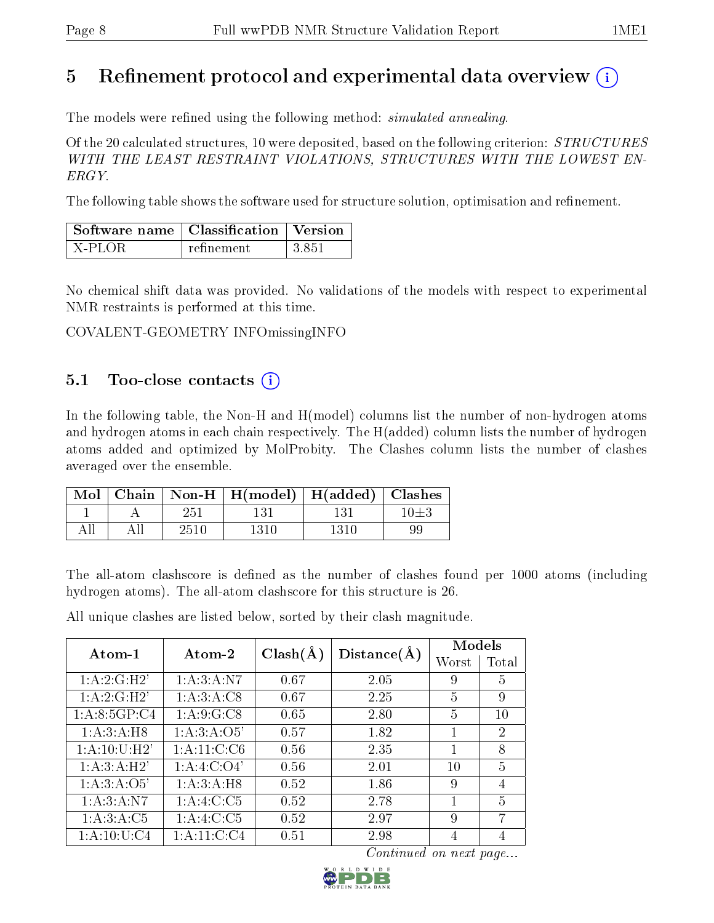## 5 Refinement protocol and experimental data overview  $\binom{1}{k}$

The models were refined using the following method: *simulated annealing*.

Of the 20 calculated structures, 10 were deposited, based on the following criterion:  $STRUCTURES$ WITH THE LEAST RESTRAINT VIOLATIONS, STRUCTURES WITH THE LOWEST EN-ERGY.

The following table shows the software used for structure solution, optimisation and refinement.

| $\mid$ Software name $\mid$ Classification $\mid$ Version |            |        |  |
|-----------------------------------------------------------|------------|--------|--|
| X-PLOR                                                    | refinement | -3.851 |  |

No chemical shift data was provided. No validations of the models with respect to experimental NMR restraints is performed at this time.

COVALENT-GEOMETRY INFOmissingINFO

## 5.1 Too-close contacts  $(i)$

In the following table, the Non-H and H(model) columns list the number of non-hydrogen atoms and hydrogen atoms in each chain respectively. The H(added) column lists the number of hydrogen atoms added and optimized by MolProbity. The Clashes column lists the number of clashes averaged over the ensemble.

|     |      | Mol   Chain   Non-H   H(model)   H(added)   Clashes |      |          |
|-----|------|-----------------------------------------------------|------|----------|
|     | 251  |                                                     | 131  | $10\pm3$ |
| All | 2510 | 1310                                                | 1310 | 99       |

The all-atom clashscore is defined as the number of clashes found per 1000 atoms (including hydrogen atoms). The all-atom clashscore for this structure is 26.

All unique clashes are listed below, sorted by their clash magnitude.

|                 |                 | $Clash(\AA)$ |             | Models |                             |
|-----------------|-----------------|--------------|-------------|--------|-----------------------------|
| $Atom-1$        | Atom-2          |              | Distance(A) | Worst  | Total                       |
| 1:A:2:G:H2'     | 1: A:3:A: N7    | 0.67         | 2.05        | 9      | 5.                          |
| 1:A:2:G:H2'     | 1: A:3:A:C8     | 0.67         | 2.25        | 5      | 9                           |
| 1: A:8:5GP:C4   | 1: A:9: G: C8   | 0.65         | 2.80        | 5      | 10                          |
| 1: A:3:A:H8     | 1:A:3:A:O5'     | 0.57         | 1.82        | 1      | $\mathcal{D}_{\mathcal{L}}$ |
| 1:A:10:U:H2'    | 1: A: 11: C: C6 | 0.56         | 2.35        |        | 8                           |
| 1:A:3:A:H2'     | 1: A:4: C:O4'   | 0.56         | 2.01        | 10     | 5                           |
| 1: A:3: A:O5'   | 1: A:3:A:H8     | 0.52         | 1.86        | 9      | $\overline{4}$              |
| 1: A:3:A: N7    | 1:A:4:C:C5      | 0.52         | 2.78        | 1      | 5                           |
| 1: A:3:A:C5     | 1:A:4:C:C5      | 0.52         | 2.97        | 9      | 7                           |
| 1: A: 10: U: C4 | 1: A: 11: C: C4 | 0.51         | 2.98        |        | 4                           |

Continued on next page...

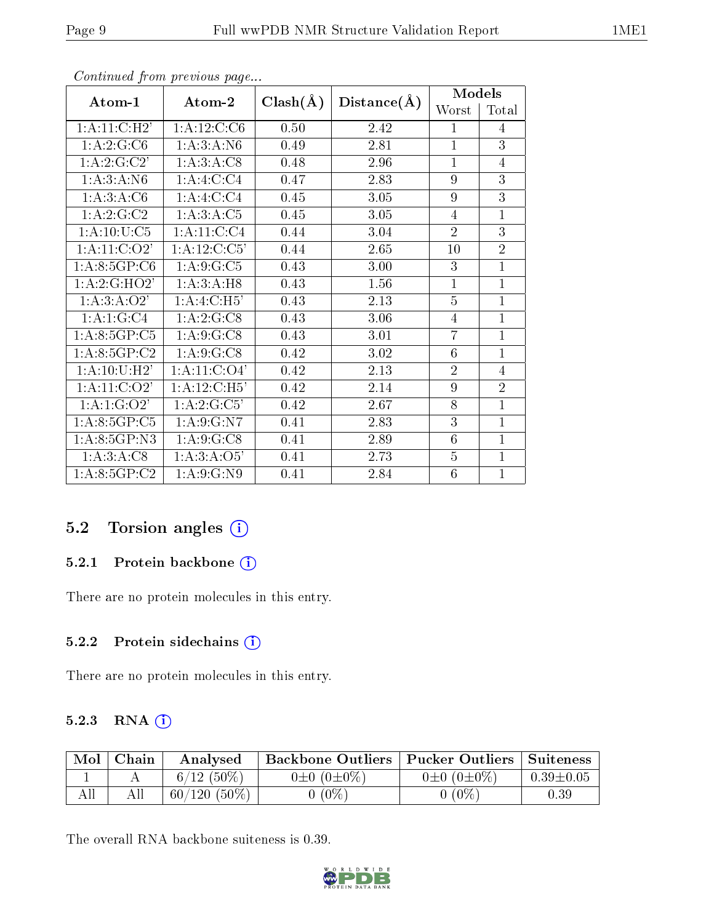|                            |                             |              |             | <b>Models</b>  |                |
|----------------------------|-----------------------------|--------------|-------------|----------------|----------------|
| Atom-1                     | Atom-2                      | $Clash(\AA)$ | Distance(A) | Worst          | Total          |
| 1:A:11:C:H2'               | 1:A:12:C:CG                 | 0.50         | 2.42        | 1              | 4              |
| $1:A:2:G:\overline{C6}$    | 1: A:3:A: N6                | 0.49         | 2.81        | $\overline{1}$ | 3              |
| 1: A:2: G:C2'              | 1: A:3: A: C8               | 0.48         | 2.96        | $\overline{1}$ | 4              |
| 1:A:3:A:N6                 | 1:A:4:C:C4                  | 0.47         | 2.83        | 9              | 3              |
| 1:A:3:A:C6                 | 1:A:4:C:C4                  | 0.45         | 3.05        | 9              | 3              |
| 1: A:2: G:C2               | 1:A:3:A:C5                  | 0.45         | 3.05        | 4              | $\mathbf{1}$   |
| 1: A: 10: U: C5            | 1:A:11:C:C4                 | 0.44         | 3.04        | $\overline{2}$ | 3              |
| 1:A:11:C:O2                | $1:A:12:C:\overline{C5'}$   | 0.44         | 2.65        | 10             | $\overline{2}$ |
| 1: A:8:5GP:C6              | 1: A:9: G: C5               | 0.43         | 3.00        | 3              | $\mathbf{1}$   |
| 1:A:2:G:HO2'               | 1:A:3:A:H8                  | 0.43         | 1.56        | $\mathbf{1}$   | 1              |
| 1:A:3:A:O2'                | 1:A:4:C:H5'                 | 0.43         | 2.13        | 5              | $\overline{1}$ |
| 1:A:1:G:C4                 | 1:A:2:G:CS                  | 0.43         | 3.06        | 4              | $\mathbf{1}$   |
| 1: A: 8: 5GP: C5           | 1: A:9: G: C8               | 0.43         | 3.01        | $\overline{7}$ | $\mathbf{1}$   |
| 1: A.8:5GP:C2              | 1: A:9: G:CS                | 0.42         | 3.02        | 6              | 1              |
| 1: A:10:U:H2'              | 1: A: 11: C: O <sub>4</sub> | 0.42         | 2.13        | $\overline{2}$ | 4              |
| $1:A:11:\overline{C:O2'}$  | 1:A:12:C:H5'                | 0.42         | 2.14        | 9              | $\overline{2}$ |
| 1: A: 1: G: O2'            | 1:A:2:G:C5'                 | 0.42         | 2.67        | 8              | 1              |
| $1: A:8:5GP \overline{C5}$ | 1: A:9: G: N7               | 0.41         | 2.83        | 3              | 1              |
| 1:A:8:5GP:N3               | 1: A:9: G: C8               | 0.41         | 2.89        | 6              | $\mathbf{1}$   |
| 1: A:3:A:C8                | 1: A:3:A:O5'                | 0.41         | 2.73        | $\overline{5}$ | $\mathbf{1}$   |
| 1: A:8:5GP:C2              | 1: A:9: G: N9               | 0.41         | 2.84        | 6              | 1              |

Continued from previous page...

## 5.2 Torsion angles (i)

#### 5.2.1 Protein backbone (i)

There are no protein molecules in this entry.

#### 5.2.2 Protein sidechains (i)

There are no protein molecules in this entry.

#### 5.2.3 RNA [O](https://www.wwpdb.org/validation/2017/NMRValidationReportHelp#rna)i

| Mol | Chain | Analysed       | Backbone Outliers   Pucker Outliers   Suiteness |                       |                 |
|-----|-------|----------------|-------------------------------------------------|-----------------------|-----------------|
|     |       | $6/12(50\%)$   | $0\pm 0$ $(0\pm 0\%)$                           | $0\pm 0$ $(0\pm 0\%)$ | $0.39 \pm 0.05$ |
|     |       | $60/120(50\%)$ | $(0\%)$                                         | $(0\%$                | $\rm 0.39$      |

The overall RNA backbone suiteness is 0.39.

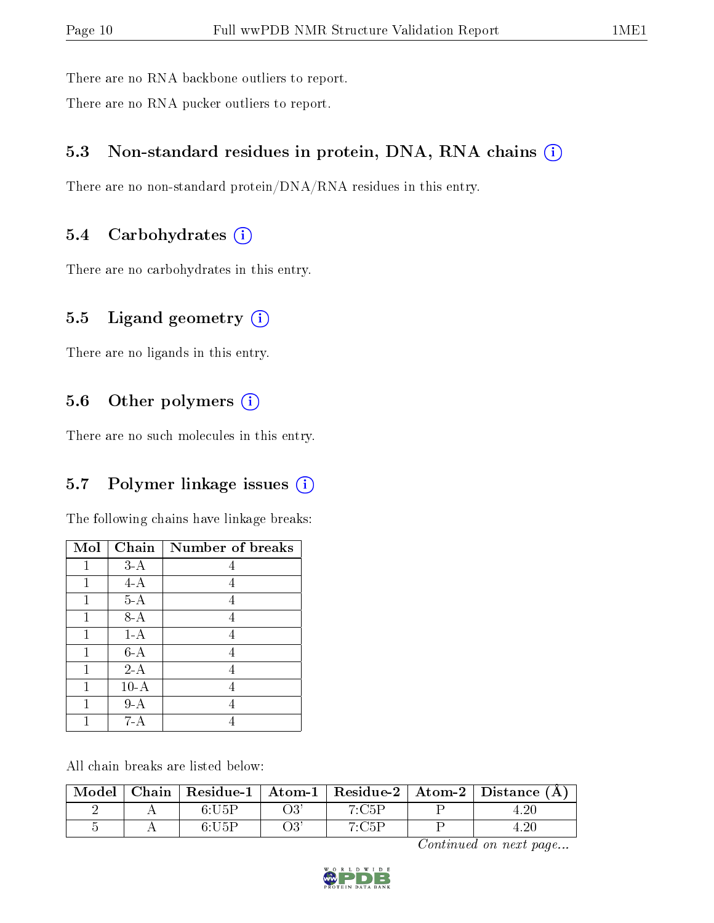There are no RNA backbone outliers to report.

There are no RNA pucker outliers to report.

## 5.3 Non-standard residues in protein, DNA, RNA chains (i)

There are no non-standard protein/DNA/RNA residues in this entry.

### 5.4 Carbohydrates (i)

There are no carbohydrates in this entry.

### 5.5 Ligand geometry (i)

There are no ligands in this entry.

### 5.6 [O](https://www.wwpdb.org/validation/2017/NMRValidationReportHelp#nonstandard_residues_and_ligands)ther polymers (i)

There are no such molecules in this entry.

### 5.7 Polymer linkage issues (i)

The following chains have linkage breaks:

| Mol | Chain  | Number of breaks |
|-----|--------|------------------|
|     | $3-A$  |                  |
| 1   | $4-A$  | 4                |
| 1   | $5-A$  | 4                |
|     | $8-A$  | 4                |
| 1   | $1-A$  | 4                |
|     | $6-A$  | 4                |
|     | $2-A$  | 4                |
| 1   | $10-A$ | 4                |
|     | $9-A$  |                  |
|     | 7-A    |                  |

All chain breaks are listed below:

| $_{\shortmid}$ Model $^{+}$ |            |       | Chain   Residue-1   Atom-1   Residue-2   Atom-2   Distance $(A)$ |
|-----------------------------|------------|-------|------------------------------------------------------------------|
|                             | 6:U5F      | 7:C5F |                                                                  |
|                             | $6 - 115F$ | 7.75D |                                                                  |

Continued on next page...

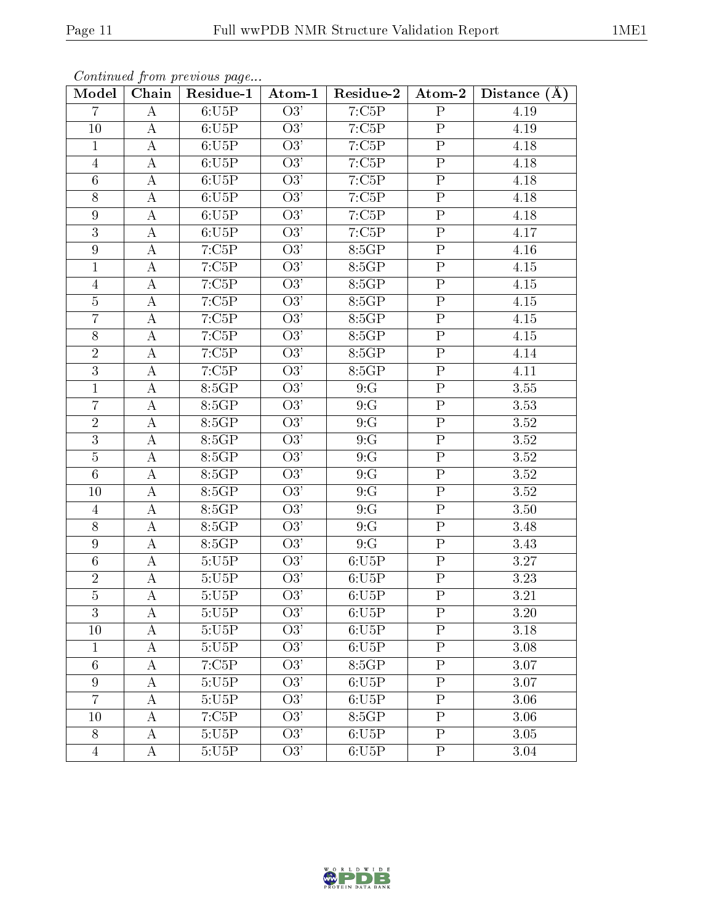| Model            | Chain              | Continued from previous page<br>Residue-1 | Atom-1           | Residue-2 | Atom-2                  | $\mathbf{A}$<br><b>Distance</b> |
|------------------|--------------------|-------------------------------------------|------------------|-----------|-------------------------|---------------------------------|
| $\overline{7}$   | A                  | 6:U5P                                     | O3'              | 7:C5P     | $\mathbf P$             | 4.19                            |
| 10               | А                  | 6:U5P                                     | $\overline{O3'}$ | 7:C5P     | ${\bf P}$               | 4.19                            |
| $\mathbf{1}$     | А                  | 6:U5P                                     | $\overline{O3'}$ | 7:C5P     | $\overline{P}$          | 4.18                            |
| $\overline{4}$   | А                  | 6:U5P                                     | $\overline{O3'}$ | 7:C5P     | ${\bf P}$               | 4.18                            |
| $\sqrt{6}$       | А                  | 6:U5P                                     | $\overline{O3'}$ | 7:C5P     | $\overline{P}$          | 4.18                            |
| 8                | $\boldsymbol{A}$   | 6:U5P                                     | $\overline{O3'}$ | 7:C5P     | $\overline{P}$          | 4.18                            |
| $\boldsymbol{9}$ | A                  | 6:U5P                                     | O3'              | 7:C5P     | $\overline{P}$          | 4.18                            |
| $\overline{3}$   | А                  | 6:U5P                                     | $\overline{O3'}$ | 7:C5P     | $\overline{P}$          | 4.17                            |
| $\boldsymbol{9}$ | $\boldsymbol{A}$   | 7:C5P                                     | O3'              | 8:5GP     | ${\bf P}$               | 4.16                            |
| $\overline{1}$   | $\boldsymbol{A}$   | 7:C5P                                     | $\overline{O3'}$ | 8:5GP     | $\overline{P}$          | $4.15\,$                        |
| $\overline{4}$   | $\overline{\rm A}$ | 7:C5P                                     | $\overline{O3'}$ | 8:5GP     | $\overline{P}$          | 4.15                            |
| $\bf 5$          | $\boldsymbol{A}$   | 7:C5P                                     | O3'              | 8:5GP     | $\mathbf P$             | 4.15                            |
| $\overline{7}$   | $\overline{\rm A}$ | 7:C5P                                     | $\overline{O3'}$ | 8:5GP     | $\overline{P}$          | 4.15                            |
| $8\,$            | $\bf{A}$           | 7:C5P                                     | O3'              | 8:5GP     | ${\bf P}$               | 4.15                            |
| $\overline{2}$   | $\overline{\rm A}$ | 7:C5P                                     | $\overline{O3'}$ | 8:5GP     | $\overline{P}$          | 4.14                            |
| $\overline{3}$   | А                  | 7:C5P                                     | O3'              | 8:5GP     | $\overline{P}$          | 4.11                            |
| $\overline{1}$   | $\boldsymbol{A}$   | 8:5GP                                     | $\overline{O3'}$ | 9:G       | ${\bf P}$               | 3.55                            |
| $\overline{7}$   | А                  | 8:5GP                                     | $\overline{O3'}$ | 9:G       | $\overline{P}$          | 3.53                            |
| $\overline{2}$   | $\boldsymbol{A}$   | 8:5GP                                     | $\overline{O3}$  | 9:G       | ${\bf P}$               | 3.52                            |
| $\overline{3}$   | $\boldsymbol{A}$   | 8:5GP                                     | $\overline{O3'}$ | 9:G       | $\overline{P}$          | 3.52                            |
| $\overline{5}$   | A                  | 8:5GP                                     | $\overline{O3'}$ | 9:G       | ${\bf P}$               | 3.52                            |
| $\overline{6}$   | А                  | 8:5GP                                     | O3'              | 9:G       | $\overline{P}$          | 3.52                            |
| 10               | А                  | 8:5GP                                     | $\overline{O3'}$ | 9:G       | $\overline{\mathbf{P}}$ | 3.52                            |
| $\overline{4}$   | А                  | 8:5GP                                     | $\overline{O3'}$ | 9:G       | $\overline{P}$          | 3.50                            |
| 8                | A                  | 8:5GP                                     | $\overline{O3'}$ | 9:G       | $\overline{\mathrm{P}}$ | 3.48                            |
| $\boldsymbol{9}$ | A                  | 8:5GP                                     | O3'              | 9:G       | $\overline{P}$          | 3.43                            |
| $6\,$            | A                  | 5:U5P                                     | O3'              | 6:U5P     | $\overline{P}$          | 3.27                            |
| $\overline{2}$   | $\boldsymbol{A}$   | 5:U5P                                     | O3'              | 6:U5P     | $\overline{P}$          | 3.23                            |
| $\overline{5}$   | А                  | $5:\!\!U5\!\!P$                           | O3'              | 6:U5P     | $\mathbf{P}$            | 3.21                            |
| 3                | А                  | 5:U5P                                     | O3'              | 6:U5P     | $\mathbf P$             | 3.20                            |
| 10               | А                  | 5:U5P                                     | O3'              | 6:U5P     | $\mathbf P$             | 3.18                            |
| $\mathbf{1}$     | A                  | $5:U\overline{5P}$                        | $\overline{O3'}$ | 6:U5P     | $\overline{\mathrm{P}}$ | 3.08                            |
| $6\phantom{.}6$  | Α                  | 7:C5P                                     | O3'              | 8:5GP     | ${\bf P}$               | 3.07                            |
| $\boldsymbol{9}$ | А                  | 5:U5P                                     | $\overline{O3'}$ | 6:U5P     | ${\bf P}$               | 3.07                            |
| $\overline{7}$   | А                  | 5:U5P                                     | O3'              | 6:U5P     | $\overline{P}$          | 3.06                            |
| 10               | А                  | 7:C5P                                     | O3'              | 8:5GP     | $\rm P$                 | 3.06                            |
| 8                | A                  | 5:U5P                                     | O3'              | 6:U5P     | $\overline{P}$          | 3.05                            |
| $\overline{4}$   | А                  | 5:U5P                                     | O3'              | 6:U5P     | $\mathbf P$             | 3.04                            |

 $Continged from nreni$